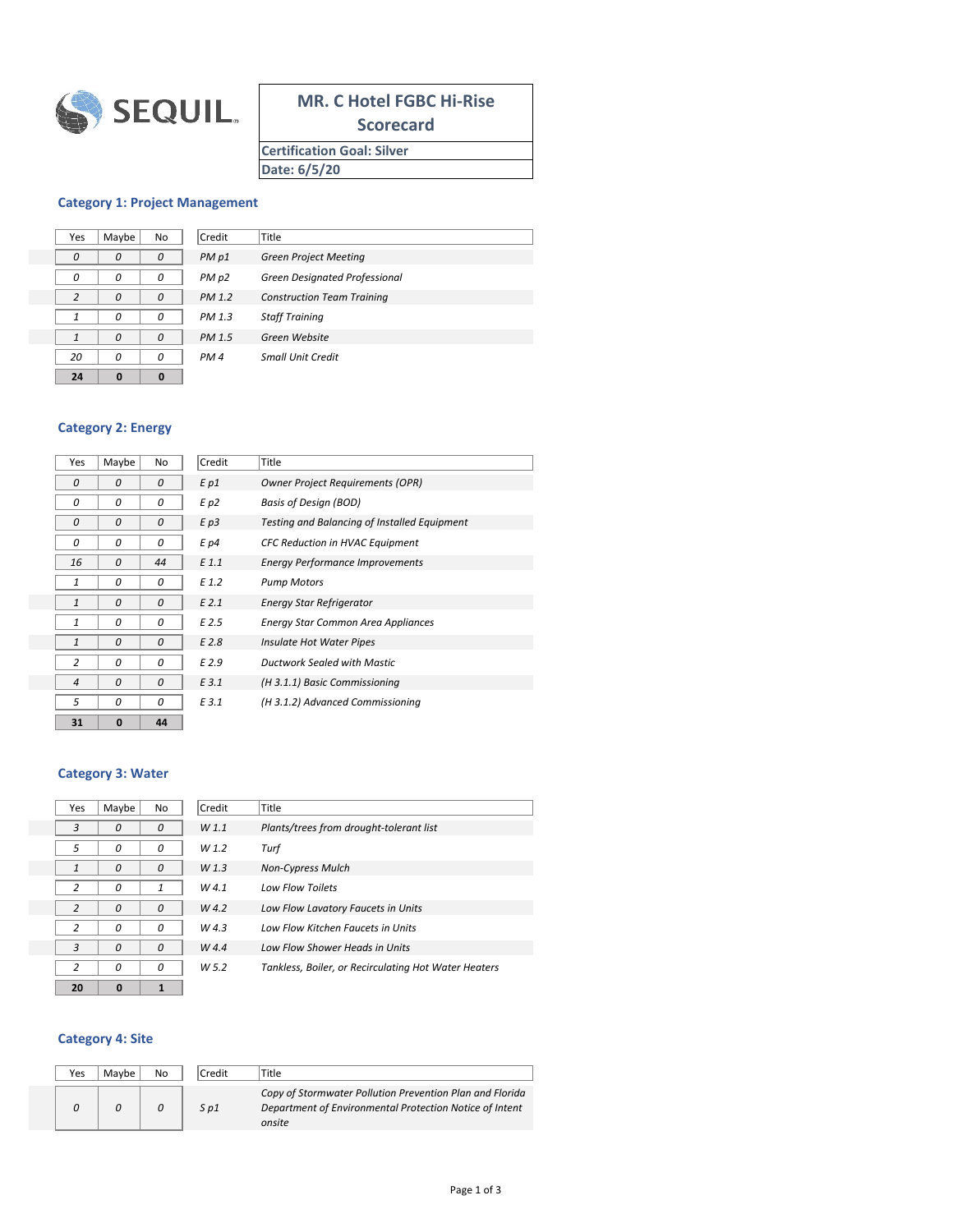

# **MR. C Hotel FGBC Hi-Rise**

**Scorecard**

**Certification Goal: Silver Date: 6/5/20**

#### **Category 1: Project Management**

| Yes          | Maybe | No | Credit          | Title                    |
|--------------|-------|----|-----------------|--------------------------|
| 0            | O     | 0  | PM p1           | <b>Green Project Me</b>  |
| n            | n     | 0  | PM p2           | Green Designate          |
| 2            | n     | 0  | PM 1.2          | <b>Construction Tea</b>  |
| 1            | n     | 0  | PM 1.3          | <b>Staff Training</b>    |
| $\mathbf{1}$ |       | n  | PM 1.5          | Green Website            |
| 20           | n     | 0  | PM <sub>4</sub> | <b>Small Unit Credit</b> |
| 24           | ŋ     | 0  |                 |                          |

| 'es | Maybe | No       | Credit          | Title                             |
|-----|-------|----------|-----------------|-----------------------------------|
| 0   | 0     | 0        | PM p1           | <b>Green Project Meeting</b>      |
| 0   | 0     | 0        | PM p2           | Green Designated Professional     |
|     | 0     | $\Omega$ | PM 1.2          | <b>Construction Team Training</b> |
| 1   | 0     | n        | PM 1.3          | <b>Staff Training</b>             |
| 1   | 0     | $\Omega$ | PM 1.5          | Green Website                     |
| 20  | 0     | n        | PM <sub>4</sub> | <b>Small Unit Credit</b>          |

#### **Category 2: Energy**

| Maybe    | No       | Credit   | Title                                        |
|----------|----------|----------|----------------------------------------------|
| 0        | 0        | $E$ $p1$ | <b>Owner Project Requirements (OPR)</b>      |
| 0        | 0        | E p2     | <b>Basis of Design (BOD)</b>                 |
| 0        | 0        | E p3     | Testing and Balancing of Installed Equipment |
| 0        | 0        | $E$ $p4$ | <b>CFC Reduction in HVAC Equipment</b>       |
| 0        | 44       | E1.1     | <b>Energy Performance Improvements</b>       |
| 0        | 0        | E 1.2    | <b>Pump Motors</b>                           |
| 0        | 0        | $E$ 2.1  | <b>Energy Star Refrigerator</b>              |
| 0        | 0        | $E$ 2.5  | <b>Energy Star Common Area Appliances</b>    |
| $\Omega$ | $\Omega$ | $E$ 2.8  | Insulate Hot Water Pipes                     |
| 0        | 0        | E2.9     | Ductwork Sealed with Mastic                  |
| 0        | 0        | E 3.1    | (H 3.1.1) Basic Commissioning                |
| 0        | 0        | E 3.1    | (H 3.1.2) Advanced Commissioning             |
| 0        | 44       |          |                                              |
|          |          |          |                                              |

## **Category 3: Water**

| Yes            | Maybe    | No           | Credit           | Title                    |
|----------------|----------|--------------|------------------|--------------------------|
| 3              | n        | 0            | W1.1             | Plants/trees from d      |
| 5              | 0        | 0            | W 1.2            | Turf                     |
| $\mathbf{1}$   | 0        | 0            | W <sub>1.3</sub> | <b>Non-Cypress Mulch</b> |
| $\overline{2}$ | n        | $\mathbf{1}$ | W4.1             | Low Flow Toilets         |
| $\overline{2}$ | 0        | 0            | W4.2             | Low Flow Lavatory        |
| 2              | n        | 0            | W4.3             | Low Flow Kitchen F       |
| 3              | 0        | 0            | W4.4             | Low Flow Shower H        |
| $\overline{2}$ | 0        | 0            | W <sub>5.2</sub> | Tankless, Boiler, or     |
| 20             | $\Omega$ | 1            |                  |                          |

| 'es          | Maybe | No | Credit           | Title                                                |
|--------------|-------|----|------------------|------------------------------------------------------|
| 3            | 0     | 0  | W1.1             | Plants/trees from drought-tolerant list              |
| 5            | 0     | 0  | W <sub>1.2</sub> | Turf                                                 |
| $\mathbf{1}$ | 0     | O  | W1.3             | <b>Non-Cypress Mulch</b>                             |
| 2            | 0     |    | W4.1             | <b>Low Flow Toilets</b>                              |
| 2            | 0     | O  | W4.2             | Low Flow Lavatory Faucets in Units                   |
| 2            | 0     | O  | W4.3             | Low Flow Kitchen Faucets in Units                    |
| 3            | 0     | O  | W4.4             | Low Flow Shower Heads in Units                       |
| 2            | Ω     | n  | W <sub>5.2</sub> | Tankless, Boiler, or Recirculating Hot Water Heaters |
|              |       |    |                  |                                                      |

## **Category 4: Site**

| Yes | Maybe | No | Credit | Title                                                                                                                         |
|-----|-------|----|--------|-------------------------------------------------------------------------------------------------------------------------------|
|     |       |    | S p1   | Copy of Stormwater Pollution Prevention Plan and Florida<br>Department of Environmental Protection Notice of Intent<br>onsite |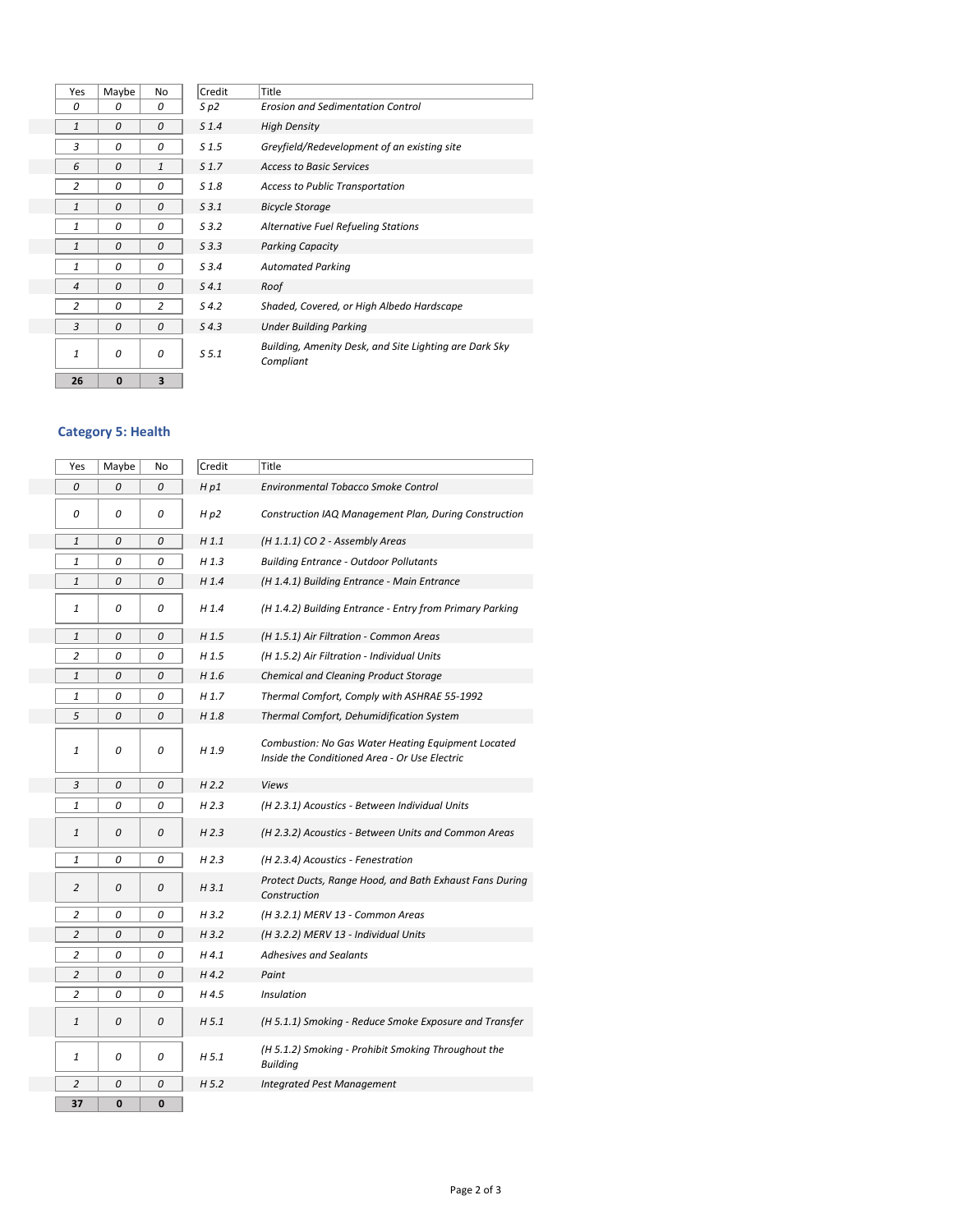| Yes                      | Maybe        | No             | Credit           | Title                                   |
|--------------------------|--------------|----------------|------------------|-----------------------------------------|
| 0                        | 0            | 0              | $S$ $p2$         | <b>Erosion and Sedime</b>               |
| 1                        | 0            | 0              | S <sub>1.4</sub> | <b>High Density</b>                     |
| 3                        | 0            | 0              | S <sub>1.5</sub> | Greyfield/Redevelo                      |
| 6                        | 0            | 1              | S <sub>1.7</sub> | <b>Access to Basic Serv</b>             |
| $\overline{2}$           | 0            | 0              | S <sub>1.8</sub> | <b>Access to Public Tra</b>             |
| $\mathbf{1}$             | 0            | 0              | S3.1             | <b>Bicycle Storage</b>                  |
| 1                        | 0            | 0              | S3.2             | <b>Alternative Fuel Ref</b>             |
| $\mathbf{1}$             | 0            | 0              | $S$ 3.3          | <b>Parking Capacity</b>                 |
| 1                        | 0            | 0              | S3.4             | <b>Automated Parking</b>                |
| $\overline{\mathcal{A}}$ | 0            | 0              | $S$ 4.1          | Roof                                    |
| $\overline{2}$           | 0            | $\overline{2}$ | $S$ 4.2          | Shaded, Covered, or                     |
| 3                        | 0            | 0              | $S$ 4.3          | <b>Under Building Park</b>              |
| 1                        | 0            | 0              | S <sub>5.1</sub> | <b>Building, Amenity D</b><br>Compliant |
| 26                       | $\mathbf{0}$ | 3              |                  |                                         |
|                          |              |                |                  |                                         |

| 'es | Maybe | No             | Credit           | Title                                                               |
|-----|-------|----------------|------------------|---------------------------------------------------------------------|
| 0   | 0     | 0              | S p2             | <b>Erosion and Sedimentation Control</b>                            |
| 1   | 0     | 0              | S <sub>1.4</sub> | <b>High Density</b>                                                 |
| 3   | 0     | 0              | S <sub>1.5</sub> | Greyfield/Redevelopment of an existing site                         |
| 6   | 0     | $\mathbf{1}$   | S <sub>1.7</sub> | <b>Access to Basic Services</b>                                     |
| 2   | 0     | 0              | S <sub>1.8</sub> | <b>Access to Public Transportation</b>                              |
| 1   | 0     | 0              | S3.1             | <b>Bicycle Storage</b>                                              |
| 1   | 0     | 0              | S.3.2            | <b>Alternative Fuel Refueling Stations</b>                          |
| 1   | 0     | 0              | $S$ 3.3          | <b>Parking Capacity</b>                                             |
| 1   | 0     | 0              | S3.4             | <b>Automated Parking</b>                                            |
| 4   | 0     | 0              | $S$ 4.1          | Roof                                                                |
| 2   | 0     | $\overline{c}$ | 54.2             | Shaded, Covered, or High Albedo Hardscape                           |
| 3   | 0     | 0              | $S$ 4.3          | <b>Under Building Parking</b>                                       |
| 1   | 0     | 0              | S <sub>5.1</sub> | Building, Amenity Desk, and Site Lighting are Dark Sky<br>Compliant |

# **Category 5: Health**

| Yes            | Maybe | No | Credit           | Title                                                                                               |
|----------------|-------|----|------------------|-----------------------------------------------------------------------------------------------------|
| 0              | 0     | 0  | Hp1              | Environmental Tobacco Smoke Control                                                                 |
| 0              | 0     | 0  | H p2             | Construction IAQ Management Plan, During Construction                                               |
| $\mathbf{1}$   | 0     | 0  | H1.1             | (H 1.1.1) CO 2 - Assembly Areas                                                                     |
| 1              | 0     | 0  | H 1.3            | <b>Building Entrance - Outdoor Pollutants</b>                                                       |
| 1              | 0     | 0  | H 1.4            | (H 1.4.1) Building Entrance - Main Entrance                                                         |
| 1              | 0     | 0  | $H$ 1.4          | (H 1.4.2) Building Entrance - Entry from Primary Parking                                            |
| $\mathbf{1}$   | 0     | 0  | H <sub>1.5</sub> | (H 1.5.1) Air Filtration - Common Areas                                                             |
| $\overline{2}$ | 0     | 0  | H <sub>1.5</sub> | (H 1.5.2) Air Filtration - Individual Units                                                         |
| $\mathbf{1}$   | 0     | 0  | H 1.6            | <b>Chemical and Cleaning Product Storage</b>                                                        |
| 1              | 0     | 0  | H 1.7            | Thermal Comfort, Comply with ASHRAE 55-1992                                                         |
| 5              | 0     | 0  | H <sub>1.8</sub> | <b>Thermal Comfort, Dehumidification System</b>                                                     |
| 1              | 0     | 0  | H 1.9            | Combustion: No Gas Water Heating Equipment Located<br>Inside the Conditioned Area - Or Use Electric |
| 3              | 0     | 0  | H 2.2            | <b>Views</b>                                                                                        |
| $\mathbf{1}$   | 0     | 0  | H 2.3            | (H 2.3.1) Acoustics - Between Individual Units                                                      |
| $\mathbf{1}$   | 0     | 0  | H <sub>2.3</sub> | (H 2.3.2) Acoustics - Between Units and Common Areas                                                |
| $\mathbf{1}$   | 0     | 0  | H <sub>2.3</sub> | (H 2.3.4) Acoustics - Fenestration                                                                  |
| $\overline{2}$ | 0     | 0  | H 3.1            | Protect Ducts, Range Hood, and Bath Exhaust Fans During<br>Construction                             |
| $\overline{2}$ | 0     | 0  | H3.2             | (H 3.2.1) MERV 13 - Common Areas                                                                    |
| $\overline{2}$ | 0     | 0  | H3.2             | (H 3.2.2) MERV 13 - Individual Units                                                                |
| 2              | 0     | 0  | H4.1             | <b>Adhesives and Sealants</b>                                                                       |
| $\overline{2}$ | 0     | 0  | $H$ 4.2          | Paint                                                                                               |
| $\overline{2}$ | 0     | 0  | H 4.5            | Insulation                                                                                          |
| $\mathbf{1}$   | 0     | 0  | H <sub>5.1</sub> | (H 5.1.1) Smoking - Reduce Smoke Exposure and Transfer                                              |
| 1              | 0     | 0  | H 5.1            | (H 5.1.2) Smoking - Prohibit Smoking Throughout the<br><b>Building</b>                              |
| $\overline{2}$ | 0     | 0  | H <sub>5.2</sub> | <b>Integrated Pest Management</b>                                                                   |
| 37             | 0     | 0  |                  |                                                                                                     |